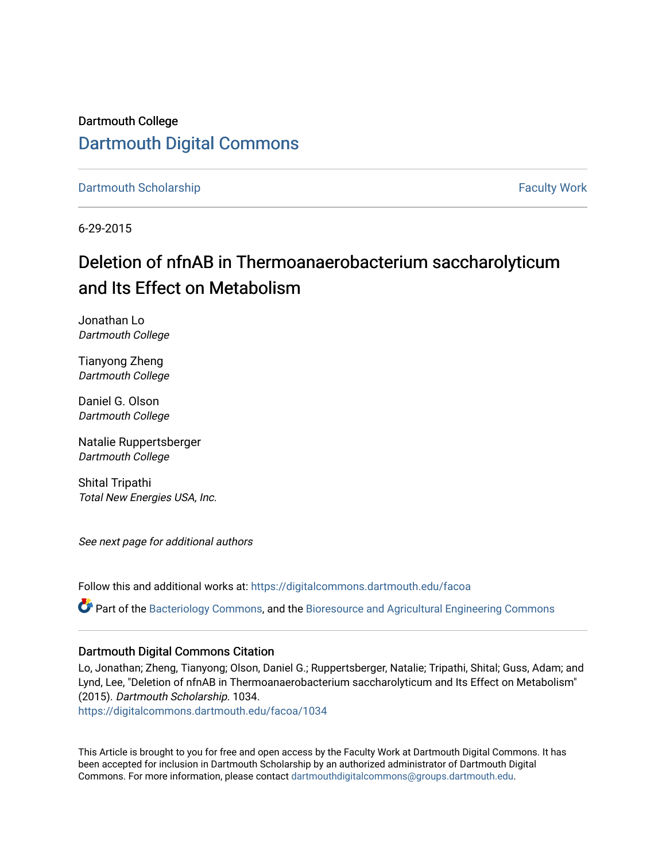Dartmouth College [Dartmouth Digital Commons](https://digitalcommons.dartmouth.edu/) 

[Dartmouth Scholarship](https://digitalcommons.dartmouth.edu/facoa) [Faculty Work](https://digitalcommons.dartmouth.edu/faculty) and The Basic Scholarship Faculty Work Faculty Work

6-29-2015

# Deletion of nfnAB in Thermoanaerobacterium saccharolyticum and Its Effect on Metabolism

Jonathan Lo Dartmouth College

Tianyong Zheng Dartmouth College

Daniel G. Olson Dartmouth College

Natalie Ruppertsberger Dartmouth College

Shital Tripathi Total New Energies USA, Inc.

See next page for additional authors

Follow this and additional works at: [https://digitalcommons.dartmouth.edu/facoa](https://digitalcommons.dartmouth.edu/facoa?utm_source=digitalcommons.dartmouth.edu%2Ffacoa%2F1034&utm_medium=PDF&utm_campaign=PDFCoverPages)

Part of the [Bacteriology Commons](http://network.bepress.com/hgg/discipline/49?utm_source=digitalcommons.dartmouth.edu%2Ffacoa%2F1034&utm_medium=PDF&utm_campaign=PDFCoverPages), and the [Bioresource and Agricultural Engineering Commons](http://network.bepress.com/hgg/discipline/1056?utm_source=digitalcommons.dartmouth.edu%2Ffacoa%2F1034&utm_medium=PDF&utm_campaign=PDFCoverPages)

### Dartmouth Digital Commons Citation

Lo, Jonathan; Zheng, Tianyong; Olson, Daniel G.; Ruppertsberger, Natalie; Tripathi, Shital; Guss, Adam; and Lynd, Lee, "Deletion of nfnAB in Thermoanaerobacterium saccharolyticum and Its Effect on Metabolism" (2015). Dartmouth Scholarship. 1034.

[https://digitalcommons.dartmouth.edu/facoa/1034](https://digitalcommons.dartmouth.edu/facoa/1034?utm_source=digitalcommons.dartmouth.edu%2Ffacoa%2F1034&utm_medium=PDF&utm_campaign=PDFCoverPages) 

This Article is brought to you for free and open access by the Faculty Work at Dartmouth Digital Commons. It has been accepted for inclusion in Dartmouth Scholarship by an authorized administrator of Dartmouth Digital Commons. For more information, please contact [dartmouthdigitalcommons@groups.dartmouth.edu](mailto:dartmouthdigitalcommons@groups.dartmouth.edu).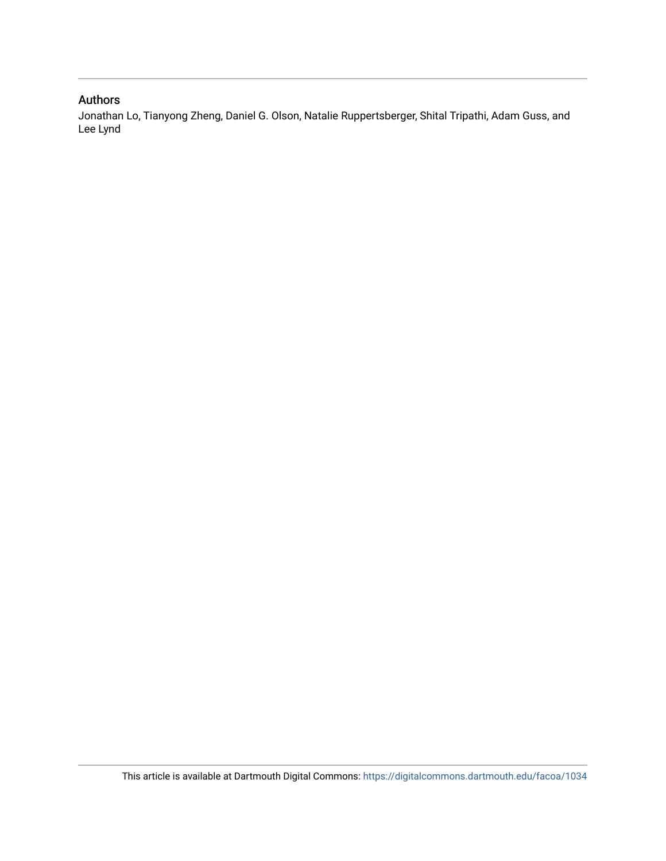## Authors

Jonathan Lo, Tianyong Zheng, Daniel G. Olson, Natalie Ruppertsberger, Shital Tripathi, Adam Guss, and Lee Lynd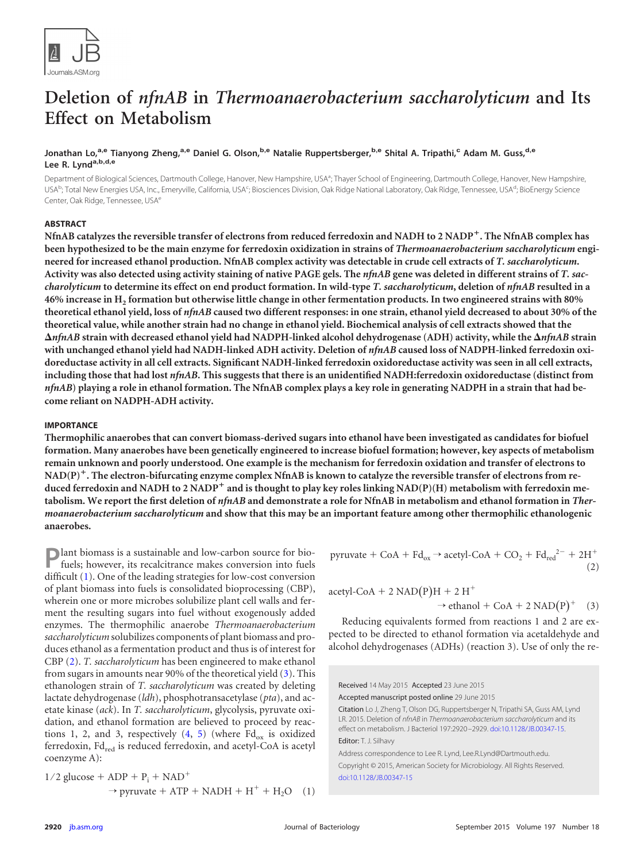

## **Deletion of** *nfnAB* **in** *Thermoanaerobacterium saccharolyticum* **and Its Effect on Metabolism**

#### **Jonathan Lo,a,e Tianyong Zheng,a,e Daniel G. Olson,b,e Natalie Ruppertsberger,b,e Shital A. Tripathi,<sup>c</sup> Adam M. Guss,d,e Lee R. Lynda,b,d,e**

Department of Biological Sciences, Dartmouth College, Hanover, New Hampshire, USA<sup>a</sup>; Thayer School of Engineering, Dartmouth College, Hanover, New Hampshire, USA<sup>b</sup>; Total New Energies USA, Inc., Emeryville, California, USA<sup>c</sup>; Biosciences Division, Oak Ridge National Laboratory, Oak Ridge, Tennessee, USA<sup>d</sup>; BioEnergy Science Center, Oak Ridge, Tennessee, USA<sup>e</sup>

#### **ABSTRACT**

**NfnAB catalyzes the reversible transfer of electrons from reduced ferredoxin and NADH to 2 NADP**-**. The NfnAB complex has been hypothesized to be the main enzyme for ferredoxin oxidization in strains of** *Thermoanaerobacterium saccharolyticum* **engineered for increased ethanol production. NfnAB complex activity was detectable in crude cell extracts of** *T. saccharolyticum***. Activity was also detected using activity staining of native PAGE gels. The** *nfnAB* **gene was deleted in different strains of** *T. saccharolyticum* **to determine its effect on end product formation. In wild-type** *T. saccharolyticum***, deletion of** *nfnAB* **resulted in a 46% increase in H2 formation but otherwise little change in other fermentation products. In two engineered strains with 80% theoretical ethanol yield, loss of** *nfnAB* **caused two different responses: in one strain, ethanol yield decreased to about 30% of the theoretical value, while another strain had no change in ethanol yield. Biochemical analysis of cell extracts showed that the** *nfnAB* **strain with decreased ethanol yield had NADPH-linked alcohol dehydrogenase (ADH) activity, while the** *nfnAB* **strain with unchanged ethanol yield had NADH-linked ADH activity. Deletion of** *nfnAB* **caused loss of NADPH-linked ferredoxin oxidoreductase activity in all cell extracts. Significant NADH-linked ferredoxin oxidoreductase activity was seen in all cell extracts, including those that had lost** *nfnAB***. This suggests that there is an unidentified NADH:ferredoxin oxidoreductase (distinct from** *nfnAB***) playing a role in ethanol formation. The NfnAB complex plays a key role in generating NADPH in a strain that had become reliant on NADPH-ADH activity.**

#### **IMPORTANCE**

**Thermophilic anaerobes that can convert biomass-derived sugars into ethanol have been investigated as candidates for biofuel formation. Many anaerobes have been genetically engineered to increase biofuel formation; however, key aspects of metabolism remain unknown and poorly understood. One example is the mechanism for ferredoxin oxidation and transfer of electrons to NAD(P)**-**. The electron-bifurcating enzyme complex NfnAB is known to catalyze the reversible transfer of electrons from re**duced ferredoxin and NADH to 2 NADP<sup>+</sup> and is thought to play key roles linking NAD(P)(H) metabolism with ferredoxin me**tabolism. We report the first deletion of** *nfnAB* **and demonstrate a role for NfnAB in metabolism and ethanol formation in** *Thermoanaerobacterium saccharolyticum* **and show that this may be an important feature among other thermophilic ethanologenic anaerobes.**

**P**lant biomass is a sustainable and low-carbon source for biofuels; however, its recalcitrance makes conversion into fuels difficult [\(1\)](#page-10-0). One of the leading strategies for low-cost conversion of plant biomass into fuels is consolidated bioprocessing (CBP), wherein one or more microbes solubilize plant cell walls and ferment the resulting sugars into fuel without exogenously added enzymes. The thermophilic anaerobe *Thermoanaerobacterium saccharolyticum* solubilizes components of plant biomass and produces ethanol as a fermentation product and thus is of interest for CBP [\(2\)](#page-10-1). *T. saccharolyticum* has been engineered to make ethanol from sugars in amounts near 90% of the theoretical yield [\(3\)](#page-10-2). This ethanologen strain of *T. saccharolyticum* was created by deleting lactate dehydrogenase (*ldh*), phosphotransacetylase (*pta*), and acetate kinase (*ack*). In *T. saccharolyticum*, glycolysis, pyruvate oxidation, and ethanol formation are believed to proceed by reactions 1, 2, and 3, respectively  $(4, 5)$  $(4, 5)$  $(4, 5)$  (where  $Fd_{ox}$  is oxidized ferredoxin,  $Fd_{red}$  is reduced ferredoxin, and acetyl-CoA is acetyl coenzyme A):

 $1/2$  glucose + ADP +  $\rm P_{i}$  +  $\rm NAD^{+}$  $\rightarrow$  pyruvate + ATP + NADH + H<sup>+</sup> + H<sub>2</sub>O (1) pyruvate + CoA +  $\text{Fd}_{ox} \rightarrow$  acetyl-CoA + CO<sub>2</sub> +  $\text{Fd}_{\text{red}}^{\text{2-}}$  +  $2\text{H}^+$ (2)

acetyl-CoA + 2 NAD $(P)H + 2 H^{+}$ 

 $\rightarrow$  ethanol + CoA + 2 NAD(P)<sup>+</sup> (3)

Reducing equivalents formed from reactions 1 and 2 are expected to be directed to ethanol formation via acetaldehyde and alcohol dehydrogenases (ADHs) (reaction 3). Use of only the re-

Received 14 May 2015 Accepted 23 June 2015 Accepted manuscript posted online 29 June 2015

Citation Lo J, Zheng T, Olson DG, Ruppertsberger N, Tripathi SA, Guss AM, Lynd LR. 2015. Deletion of *nfnAB* in *Thermoanaerobacterium saccharolyticum* and its effect on metabolism. J Bacteriol 197:2920 –2929. [doi:10.1128/JB.00347-15.](http://dx.doi.org/10.1128/JB.00347-15) Editor: T. J. Silhavy

Address correspondence to Lee R. Lynd, Lee.R.Lynd@Dartmouth.edu. Copyright © 2015, American Society for Microbiology. All Rights Reserved. [doi:10.1128/JB.00347-15](http://dx.doi.org/10.1128/JB.00347-15)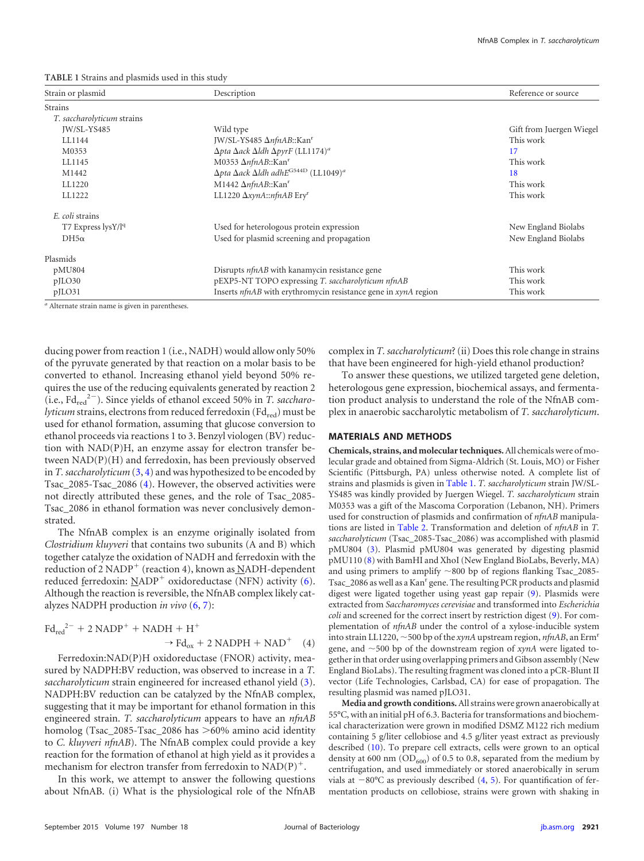<span id="page-3-0"></span>**TABLE 1** Strains and plasmids used in this study

| Strain or plasmid          | Description                                                                          |                          |
|----------------------------|--------------------------------------------------------------------------------------|--------------------------|
| Strains                    |                                                                                      |                          |
| T. saccharolyticum strains |                                                                                      |                          |
| IW/SL-YS485                | Wild type                                                                            | Gift from Juergen Wiegel |
| LL1144                     | JW/SL-YS485 ΔnfnAB::Kan <sup>r</sup>                                                 | This work                |
| M0353                      | $\Delta p$ ta $\Delta a$ ck $\Delta$ ldh $\Delta p$ yrF (LL1174) <sup>a</sup>        | 17                       |
| LL1145                     | M0353 $\Delta nfnAB::Kanr$                                                           | This work                |
| M1442                      | $\Delta p$ ta $\Delta a$ ck $\Delta$ ldh adhE <sup>G544D</sup> (LL1049) <sup>a</sup> | 18                       |
| LL1220                     | M1442 $\Delta nfnAB::Kanr$                                                           | This work                |
| LL1222                     | LL1220 AxynA::nfnAB Ery <sup>r</sup>                                                 | This work                |
| E. coli strains            |                                                                                      |                          |
| $T7$ Express $\frac{1}{9}$ | Used for heterologous protein expression                                             | New England Biolabs      |
| $DH5\alpha$                | Used for plasmid screening and propagation                                           | New England Biolabs      |
| Plasmids                   |                                                                                      |                          |
| pMU804                     | Disrupts <i>nfnAB</i> with kanamycin resistance gene                                 | This work                |
| $p$ JLO30                  | pEXP5-NT TOPO expressing T. saccharolyticum nfnAB                                    | This work                |
| pJLO31                     | Inserts nfnAB with erythromycin resistance gene in xynA region                       | This work                |

*<sup>a</sup>* Alternate strain name is given in parentheses.

ducing power from reaction 1 (i.e., NADH) would allow only 50% of the pyruvate generated by that reaction on a molar basis to be converted to ethanol. Increasing ethanol yield beyond 50% requires the use of the reducing equivalents generated by reaction 2 (i.e., Fd<sub>red</sub><sup>2-</sup>). Since yields of ethanol exceed 50% in *T. saccharolyticum* strains, electrons from reduced ferredoxin (Fd<sub>red</sub>) must be used for ethanol formation, assuming that glucose conversion to ethanol proceeds via reactions 1 to 3. Benzyl viologen (BV) reduction with NAD(P)H, an enzyme assay for electron transfer between NAD(P)(H) and ferredoxin, has been previously observed in *T. saccharolyticum* [\(3,](#page-10-2) [4\)](#page-10-3) and was hypothesized to be encoded by Tsac\_2085-Tsac\_2086 [\(4\)](#page-10-3). However, the observed activities were not directly attributed these genes, and the role of Tsac\_2085- Tsac\_2086 in ethanol formation was never conclusively demonstrated.

The NfnAB complex is an enzyme originally isolated from *Clostridium kluyveri* that contains two subunits (A and B) which together catalyze the oxidation of NADH and ferredoxin with the reduction of 2 NADP<sup>+</sup> (reaction 4), known as NADH-dependent reduced ferredoxin:  $NADP^+$  oxidoreductase (NFN) activity [\(6\)](#page-10-5). Although the reaction is reversible, the NfnAB complex likely catalyzes NADPH production *in vivo* [\(6,](#page-10-5) [7\)](#page-10-6):

$$
Fd_{red}^{2-} + 2 NADP^{+} + NADH + H^{+}
$$
  
\n
$$
\rightarrow Fd_{ox} + 2 NADPH + NAD^{+} \quad (4)
$$

Ferredoxin:NAD(P)H oxidoreductase (FNOR) activity, measured by NADPH:BV reduction, was observed to increase in a *T. saccharolyticum* strain engineered for increased ethanol yield [\(3\)](#page-10-2). NADPH:BV reduction can be catalyzed by the NfnAB complex, suggesting that it may be important for ethanol formation in this engineered strain. *T. saccharolyticum* appears to have an *nfnAB* homolog (Tsac\_2085-Tsac\_2086 has >60% amino acid identity to *C. kluyveri nfnAB*). The NfnAB complex could provide a key reaction for the formation of ethanol at high yield as it provides a mechanism for electron transfer from ferredoxin to  $NAD(P)^+$ .

In this work, we attempt to answer the following questions about NfnAB. (i) What is the physiological role of the NfnAB complex in *T. saccharolyticum*? (ii) Does this role change in strains that have been engineered for high-yield ethanol production?

To answer these questions, we utilized targeted gene deletion, heterologous gene expression, biochemical assays, and fermentation product analysis to understand the role of the NfnAB complex in anaerobic saccharolytic metabolism of *T. saccharolyticum*.

#### **MATERIALS AND METHODS**

**Chemicals, strains, and molecular techniques.**All chemicals were of molecular grade and obtained from Sigma-Aldrich (St. Louis, MO) or Fisher Scientific (Pittsburgh, PA) unless otherwise noted. A complete list of strains and plasmids is given in [Table 1.](#page-3-0) *T. saccharolyticum* strain JW/SL-YS485 was kindly provided by Juergen Wiegel. *T. saccharolyticum* strain M0353 was a gift of the Mascoma Corporation (Lebanon, NH). Primers used for construction of plasmids and confirmation of *nfnAB* manipulations are listed in [Table 2.](#page-4-0) Transformation and deletion of *nfnAB* in *T. saccharolyticum* (Tsac\_2085-Tsac\_2086) was accomplished with plasmid pMU804 [\(3\)](#page-10-2). Plasmid pMU804 was generated by digesting plasmid pMU110 [\(8\)](#page-10-7) with BamHI and XhoI (New England BioLabs, Beverly, MA) and using primers to amplify  $\sim$ 800 bp of regions flanking Tsac\_2085-Tsac\_2086 as well as a Kan<sup>r</sup> gene. The resulting PCR products and plasmid digest were ligated together using yeast gap repair [\(9\)](#page-10-8). Plasmids were extracted from *Saccharomyces cerevisiae* and transformed into *Escherichia coli* and screened for the correct insert by restriction digest [\(9\)](#page-10-8). For complementation of *nfnAB* under the control of a xylose-inducible system into strain LL1220,  $\sim$  500 bp of the *xynA* upstream region, *nfnAB*, an Erm<sup>r</sup> gene, and  $\sim$  500 bp of the downstream region of *xynA* were ligated together in that order using overlapping primers and Gibson assembly (New England BioLabs). The resulting fragment was cloned into a pCR-Blunt II vector (Life Technologies, Carlsbad, CA) for ease of propagation. The resulting plasmid was named pJLO31.

**Media and growth conditions.**All strains were grown anaerobically at 55°C, with an initial pH of 6.3. Bacteria for transformations and biochemical characterization were grown in modified DSMZ M122 rich medium containing 5 g/liter cellobiose and 4.5 g/liter yeast extract as previously described [\(10\)](#page-10-9). To prepare cell extracts, cells were grown to an optical density at 600 nm  $OD_{600}$  of 0.5 to 0.8, separated from the medium by centrifugation, and used immediately or stored anaerobically in serum vials at  $-80^{\circ}$ C as previously described  $(4, 5)$  $(4, 5)$  $(4, 5)$ . For quantification of fermentation products on cellobiose, strains were grown with shaking in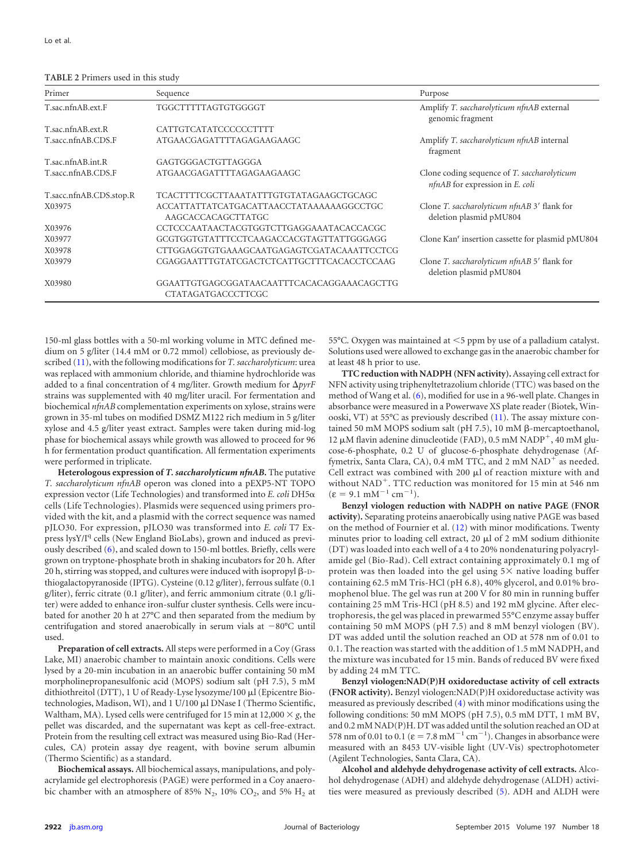<span id="page-4-0"></span>**TABLE 2** Primers used in this study

| Primer                  | Sequence                                                         | Purpose                                                                                 |
|-------------------------|------------------------------------------------------------------|-----------------------------------------------------------------------------------------|
| T.sac.nfnAB.ext.F       | TGGCTTTTTAGTGTGGGGT                                              | Amplify T. saccharolyticum nfnAB external<br>genomic fragment                           |
| T.sac.nfnAB.ext.R       | CATTGTCATATCCCCCCTTTT                                            |                                                                                         |
| T.sacc.nfnAB.CDS.F      | ATGAACGAGATTTTAGAGAAGAAGC                                        | Amplify T. saccharolyticum nfnAB internal<br>fragment                                   |
| T.sac.nfnAB.int.R       | GAGTGGGACTGTTAGGGA                                               |                                                                                         |
| T.sacc.nfnAB.CDS.F      | ATGAACGAGATTTTAGAGAAGAAGC                                        | Clone coding sequence of <i>T. saccharolyticum</i><br>$nfnAB$ for expression in E. coli |
| T.sacc.nfnAB.CDS.stop.R | TCACTTTTCGCTTAAATATTTGTGTATAGAAGCTGCAGC                          |                                                                                         |
| X03975                  | ACCATTATTATCATGACATTAACCTATAAAAAAGGCCTGC<br>AAGCACCACAGCTTATGC   | Clone T. saccharolyticum nfnAB 3' flank for<br>deletion plasmid pMU804                  |
| X03976                  | CCTCCCAATAACTACGTGGTCTTGAGGAAATACACCACGC                         |                                                                                         |
| X03977                  | GCGTGGTGTATTTCCTCAAGACCACGTAGTTATTGGGAGG                         | Clone Kan <sup>r</sup> insertion cassette for plasmid pMU804                            |
| X03978                  | CTTGGAGGTGTGAAAGCAATGAGAGTCGATACAAATTCCTCG                       |                                                                                         |
| X03979                  | CGAGGAATTTGTATCGACTCTCATTGCTTTCACACCTCCAAG                       | Clone T. saccharolyticum nfnAB 5' flank for<br>deletion plasmid pMU804                  |
| X03980                  | GGAATTGTGAGCGGATAACAATTTCACACAGGAAACAGCTTG<br>CTATAGATGACCCTTCGC |                                                                                         |

150-ml glass bottles with a 50-ml working volume in MTC defined medium on 5 g/liter (14.4 mM or 0.72 mmol) cellobiose, as previously described [\(11\)](#page-10-12), with the following modifications for *T. saccharolyticum*: urea was replaced with ammonium chloride, and thiamine hydrochloride was added to a final concentration of 4 mg/liter. Growth medium for  $\Delta pyrF$ strains was supplemented with 40 mg/liter uracil. For fermentation and biochemical *nfnAB* complementation experiments on xylose, strains were grown in 35-ml tubes on modified DSMZ M122 rich medium in 5 g/liter xylose and 4.5 g/liter yeast extract. Samples were taken during mid-log phase for biochemical assays while growth was allowed to proceed for 96 h for fermentation product quantification. All fermentation experiments were performed in triplicate.

**Heterologous expression of** *T. saccharolyticum nfnAB***.** The putative *T. saccharolyticum nfnAB* operon was cloned into a pEXP5-NT TOPO expression vector (Life Technologies) and transformed into *E. coli* DH5 cells (Life Technologies). Plasmids were sequenced using primers provided with the kit, and a plasmid with the correct sequence was named pJLO30. For expression, pJLO30 was transformed into *E. coli* T7 Express lysY/Iq cells (New England BioLabs), grown and induced as previously described [\(6\)](#page-10-5), and scaled down to 150-ml bottles. Briefly, cells were grown on tryptone-phosphate broth in shaking incubators for 20 h. After 20 h, stirring was stopped, and cultures were induced with isopropyl  $\beta$ -Dthiogalactopyranoside (IPTG). Cysteine (0.12 g/liter), ferrous sulfate (0.1 g/liter), ferric citrate (0.1 g/liter), and ferric ammonium citrate (0.1 g/liter) were added to enhance iron-sulfur cluster synthesis. Cells were incubated for another 20 h at 27°C and then separated from the medium by centrifugation and stored anaerobically in serum vials at  $-80^{\circ}$ C until used.

**Preparation of cell extracts.** All steps were performed in a Coy (Grass Lake, MI) anaerobic chamber to maintain anoxic conditions. Cells were lysed by a 20-min incubation in an anaerobic buffer containing 50 mM morpholinepropanesulfonic acid (MOPS) sodium salt (pH 7.5), 5 mM dithiothreitol (DTT), 1 U of Ready-Lyse lysozyme/100 µl (Epicentre Biotechnologies, Madison, WI), and 1 U/100 µl DNase I (Thermo Scientific, Waltham, MA). Lysed cells were centrifuged for  $15$  min at  $12{,}000 \times g$ , the pellet was discarded, and the supernatant was kept as cell-free-extract. Protein from the resulting cell extract was measured using Bio-Rad (Hercules, CA) protein assay dye reagent, with bovine serum albumin (Thermo Scientific) as a standard.

**Biochemical assays.** All biochemical assays, manipulations, and polyacrylamide gel electrophoresis (PAGE) were performed in a Coy anaerobic chamber with an atmosphere of 85%  $N_2$ , 10%  $CO_2$ , and 5%  $H_2$  at 55°C. Oxygen was maintained at <5 ppm by use of a palladium catalyst. Solutions used were allowed to exchange gas in the anaerobic chamber for at least 48 h prior to use.

**TTC reduction with NADPH (NFN activity).** Assaying cell extract for NFN activity using triphenyltetrazolium chloride (TTC) was based on the method of Wang et al. [\(6\)](#page-10-5), modified for use in a 96-well plate. Changes in absorbance were measured in a Powerwave XS plate reader (Biotek, Winooski, VT) at 55°C as previously described [\(11\)](#page-10-12). The assay mixture contained 50 mM MOPS sodium salt (pH 7.5), 10 mM  $\beta$ -mercaptoethanol,  $12 \mu$ M flavin adenine dinucleotide (FAD), 0.5 mM NADP<sup>+</sup>, 40 mM glucose-6-phosphate, 0.2 U of glucose-6-phosphate dehydrogenase (Affymetrix, Santa Clara, CA), 0.4 mM TTC, and 2 mM  $NAD^+$  as needed. Cell extract was combined with 200  $\mu$ l of reaction mixture with and without NAD<sup>+</sup>. TTC reduction was monitored for 15 min at 546 nm  $(\epsilon = 9.1 \text{ mM}^{-1} \text{ cm}^{-1}).$ 

**Benzyl viologen reduction with NADPH on native PAGE (FNOR activity).** Separating proteins anaerobically using native PAGE was based on the method of Fournier et al. [\(12\)](#page-10-13) with minor modifications. Twenty minutes prior to loading cell extract, 20  $\mu$ l of 2 mM sodium dithionite (DT) was loaded into each well of a 4 to 20% nondenaturing polyacrylamide gel (Bio-Rad). Cell extract containing approximately 0.1 mg of protein was then loaded into the gel using 5 $\times$  native loading buffer containing 62.5 mM Tris-HCl (pH 6.8), 40% glycerol, and 0.01% bromophenol blue. The gel was run at 200 V for 80 min in running buffer containing 25 mM Tris-HCl (pH 8.5) and 192 mM glycine. After electrophoresis, the gel was placed in prewarmed 55°C enzyme assay buffer containing 50 mM MOPS (pH 7.5) and 8 mM benzyl viologen (BV). DT was added until the solution reached an OD at 578 nm of 0.01 to 0.1. The reaction was started with the addition of 1.5 mM NADPH, and the mixture was incubated for 15 min. Bands of reduced BV were fixed by adding 24 mM TTC.

**Benzyl viologen:NAD(P)H oxidoreductase activity of cell extracts (FNOR activity).** Benzyl viologen:NAD(P)H oxidoreductase activity was measured as previously described [\(4\)](#page-10-3) with minor modifications using the following conditions: 50 mM MOPS (pH 7.5), 0.5 mM DTT, 1 mM BV, and 0.2 mM NAD(P)H. DT was added until the solution reached an OD at 578 nm of 0.01 to 0.1 ( $\varepsilon = 7.8$  mM<sup>-1</sup> cm<sup>-1</sup>). Changes in absorbance were measured with an 8453 UV-visible light (UV-Vis) spectrophotometer (Agilent Technologies, Santa Clara, CA).

**Alcohol and aldehyde dehydrogenase activity of cell extracts.** Alcohol dehydrogenase (ADH) and aldehyde dehydrogenase (ALDH) activities were measured as previously described [\(5\)](#page-10-4). ADH and ALDH were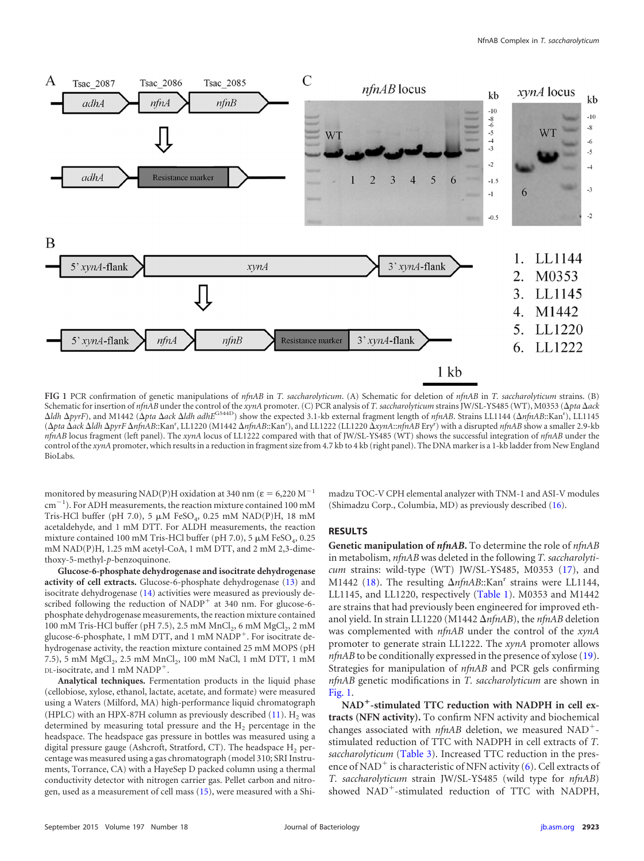

<span id="page-5-0"></span>**FIG 1** PCR confirmation of genetic manipulations of *nfnAB* in *T. saccharolyticum*. (A) Schematic for deletion of *nfnAB* in *T. saccharolyticum* strains. (B) Schematic for insertion of *nfnAB* under the control of the *xynA* promoter. (C) PCR analysis of *T. saccharolyticum* strains JW/SL-YS485 (WT), M0353 (*pta ack ldh <i>ApyrF*), and M1442 (*Apta Aack Aldh adhE<sup>G544D</sup>*) show the expected 3.1-kb external fragment length of *nfnAB*. Strains LL1144 (*AnfnAB*::Kan<sup>r</sup>), LL1145 (*pta ack ldh pyrF nfnAB*::Kanr , LL1220 (M1442 *nfnAB*::Kanr ), and LL1222 (LL1220 *xynA*::*nfnAB* Eryr ) with a disrupted *nfnAB* show a smaller 2.9-kb *nfnAB* locus fragment (left panel). The *xynA* locus of LL1222 compared with that of JW/SL-YS485 (WT) shows the successful integration of *nfnAB* under the control of the *xynA* promoter, which results in a reduction in fragment size from 4.7 kb to 4 kb (right panel). The DNA marker is a 1-kb ladder from New England BioLabs.

monitored by measuring NAD(P)H oxidation at 340 nm ( $\varepsilon = 6,220 \text{ M}^{-1}$ cm-1 ). For ADH measurements, the reaction mixture contained 100 mM Tris-HCl buffer (pH 7.0), 5  $\mu$ M FeSO<sub>4</sub>, 0.25 mM NAD(P)H, 18 mM acetaldehyde, and 1 mM DTT. For ALDH measurements, the reaction mixture contained 100 mM Tris-HCl buffer (pH 7.0), 5  $\mu$ M FeSO<sub>4</sub>, 0.25 mM NAD(P)H, 1.25 mM acetyl-CoA, 1 mM DTT, and 2 mM 2,3-dimethoxy-5-methyl-*p*-benzoquinone.

**Glucose-6-phosphate dehydrogenase and isocitrate dehydrogenase activity of cell extracts.** Glucose-6-phosphate dehydrogenase [\(13\)](#page-10-14) and isocitrate dehydrogenase [\(14\)](#page-10-15) activities were measured as previously described following the reduction of  $NADP<sup>+</sup>$  at 340 nm. For glucose-6phosphate dehydrogenase measurements, the reaction mixture contained 100 mM Tris-HCl buffer (pH 7.5), 2.5 mM MnCl<sub>2</sub>, 6 mM MgCl<sub>2</sub>, 2 mM glucose-6-phosphate, 1 mM DTT, and 1 mM NADP<sup>+</sup>. For isocitrate dehydrogenase activity, the reaction mixture contained 25 mM MOPS (pH 7.5), 5 mM MgCl<sub>2</sub>, 2.5 mM MnCl<sub>2</sub>, 100 mM NaCl, 1 mM DTT, 1 mM DL-isocitrate, and 1 mM NADP<sup>+</sup>.

**Analytical techniques.** Fermentation products in the liquid phase (cellobiose, xylose, ethanol, lactate, acetate, and formate) were measured using a Waters (Milford, MA) high-performance liquid chromatograph (HPLC) with an HPX-87H column as previously described  $(11)$ . H<sub>2</sub> was determined by measuring total pressure and the  $H<sub>2</sub>$  percentage in the headspace. The headspace gas pressure in bottles was measured using a digital pressure gauge (Ashcroft, Stratford, CT). The headspace  $H_2$  percentage was measured using a gas chromatograph (model 310; SRI Instruments, Torrance, CA) with a HayeSep D packed column using a thermal conductivity detector with nitrogen carrier gas. Pellet carbon and nitrogen, used as a measurement of cell mass [\(15\)](#page-10-16), were measured with a Shimadzu TOC-V CPH elemental analyzer with TNM-1 and ASI-V modules (Shimadzu Corp., Columbia, MD) as previously described [\(16\)](#page-10-17).

#### **RESULTS**

**Genetic manipulation of** *nfnAB***.** To determine the role of *nfnAB* in metabolism, *nfnAB* was deleted in the following *T. saccharolyticum* strains: wild-type (WT) JW/SL-YS485, M0353 [\(17\)](#page-10-10), and M1442 [\(18\)](#page-10-11). The resulting  $\Delta nfnAB::Kan<sup>r</sup>$  strains were LL1144, LL1145, and LL1220, respectively [\(Table 1\)](#page-3-0). M0353 and M1442 are strains that had previously been engineered for improved ethanol yield. In strain LL1220 (M1442 *nfnAB*), the *nfnAB* deletion was complemented with *nfnAB* under the control of the *xynA* promoter to generate strain LL1222. The *xynA* promoter allows *nfnAB* to be conditionally expressed in the presence of xylose [\(19\)](#page-10-18). Strategies for manipulation of *nfnAB* and PCR gels confirming *nfnAB* genetic modifications in *T. saccharolyticum* are shown in [Fig. 1.](#page-5-0)

**NAD**-**-stimulated TTC reduction with NADPH in cell extracts (NFN activity).** To confirm NFN activity and biochemical changes associated with *nfnAB* deletion, we measured NAD<sup>+</sup>stimulated reduction of TTC with NADPH in cell extracts of *T. saccharolyticum* [\(Table 3\)](#page-6-0). Increased TTC reduction in the pres-ence of NAD<sup>+</sup> is characteristic of NFN activity [\(6\)](#page-10-5). Cell extracts of *T. saccharolyticum* strain JW/SL-YS485 (wild type for *nfnAB*) showed NAD<sup>+</sup>-stimulated reduction of TTC with NADPH,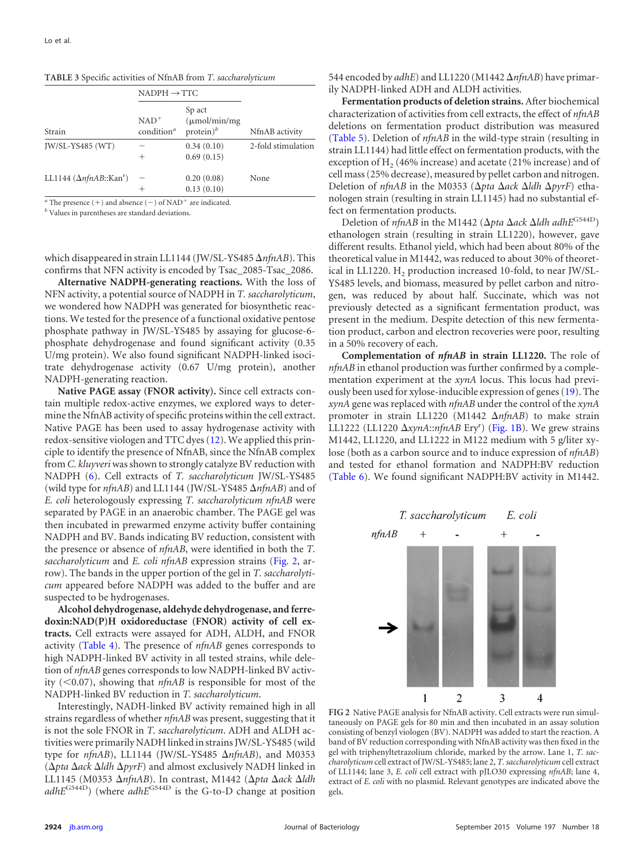|                               | $NADPH \rightarrow TTC$           |                                                     |                    |  |
|-------------------------------|-----------------------------------|-----------------------------------------------------|--------------------|--|
| Strain                        | $NAD^+$<br>condition <sup>a</sup> | Sp act<br>$(\mu \text{mol/min/mg})$<br>$protein)^b$ | NfnAB activity     |  |
| JW/SL-YS485 (WT)              | $^+$                              | 0.34(0.10)<br>0.69(0.15)                            | 2-fold stimulation |  |
| LL1144 $(\Delta nfnAB::Kanr)$ | -<br>$^+$                         | 0.20(0.08)<br>0.13(0.10)                            | None               |  |

<span id="page-6-0"></span>**TABLE 3** Specific activities of NfnAB from *T*. *saccharolyticum*

 $a$ <sup>a</sup> The presence  $(+)$  and absence  $(-)$  of NAD<sup>+</sup> are indicated.

*<sup>b</sup>* Values in parentheses are standard deviations.

which disappeared in strain LL1144 (JW/SL-YS485 Δ*nfnAB*). This confirms that NFN activity is encoded by Tsac\_2085-Tsac\_2086.

**Alternative NADPH-generating reactions.** With the loss of NFN activity, a potential source of NADPH in *T. saccharolyticum*, we wondered how NADPH was generated for biosynthetic reactions. We tested for the presence of a functional oxidative pentose phosphate pathway in JW/SL-YS485 by assaying for glucose-6 phosphate dehydrogenase and found significant activity (0.35 U/mg protein). We also found significant NADPH-linked isocitrate dehydrogenase activity (0.67 U/mg protein), another NADPH-generating reaction.

**Native PAGE assay (FNOR activity).** Since cell extracts contain multiple redox-active enzymes, we explored ways to determine the NfnAB activity of specific proteins within the cell extract. Native PAGE has been used to assay hydrogenase activity with redox-sensitive viologen and TTC dyes [\(12\)](#page-10-13). We applied this principle to identify the presence of NfnAB, since the NfnAB complex from *C. kluyveri*was shown to strongly catalyze BV reduction with NADPH [\(6\)](#page-10-5). Cell extracts of *T. saccharolyticum* JW/SL-YS485 (wild type for *nfnAB*) and LL1144 (JW/SL-YS485 *nfnAB*) and of *E. coli* heterologously expressing *T. saccharolyticum nfnAB* were separated by PAGE in an anaerobic chamber. The PAGE gel was then incubated in prewarmed enzyme activity buffer containing NADPH and BV. Bands indicating BV reduction, consistent with the presence or absence of *nfnAB*, were identified in both the *T. saccharolyticum* and *E. coli nfnAB* expression strains [\(Fig. 2,](#page-6-1) arrow). The bands in the upper portion of the gel in *T. saccharolyticum* appeared before NADPH was added to the buffer and are suspected to be hydrogenases.

**Alcohol dehydrogenase, aldehyde dehydrogenase, and ferredoxin:NAD(P)H oxidoreductase (FNOR) activity of cell extracts.** Cell extracts were assayed for ADH, ALDH, and FNOR activity [\(Table 4\)](#page-7-0). The presence of *nfnAB* genes corresponds to high NADPH-linked BV activity in all tested strains, while deletion of *nfnAB* genes corresponds to low NADPH-linked BV activity  $(<0.07)$ , showing that *nfnAB* is responsible for most of the NADPH-linked BV reduction in *T. saccharolyticum*.

Interestingly, NADH-linked BV activity remained high in all strains regardless of whether *nfnAB* was present, suggesting that it is not the sole FNOR in *T. saccharolyticum*. ADH and ALDH activities were primarily NADH linked in strains JW/SL-YS485 (wild type for *nfnAB*), LL1144 (JW/SL-YS485 *nfnAB*), and M0353 (*pta ack ldh pyrF*) and almost exclusively NADH linked in LL1145 (M0353 ΔnfnAB). In contrast, M1442 (Δpta Δack Δldh  $adhE$ <sup>G544D</sup>) (where  $adhE$ <sup>G544D</sup> is the G-to-D change at position 544 encoded by *adhE*) and LL1220 (M1442 *nfnAB*) have primarily NADPH-linked ADH and ALDH activities.

**Fermentation products of deletion strains.** After biochemical characterization of activities from cell extracts, the effect of *nfnAB* deletions on fermentation product distribution was measured [\(Table 5\)](#page-7-1). Deletion of *nfnAB* in the wild-type strain (resulting in strain LL1144) had little effect on fermentation products, with the exception of  $H<sub>2</sub>$  (46% increase) and acetate (21% increase) and of cell mass (25% decrease), measured by pellet carbon and nitrogen. Deletion of *nfnAB* in the M0353 ( $\Delta pta \Delta ack \Delta ldh \Delta pyrF$ ) ethanologen strain (resulting in strain LL1145) had no substantial effect on fermentation products.

Deletion of *nfnAB* in the M1442 (Δ*pta* Δ*ack* Δ*ldh adhE*<sup>G544D</sup>) ethanologen strain (resulting in strain LL1220), however, gave different results. Ethanol yield, which had been about 80% of the theoretical value in M1442, was reduced to about 30% of theoretical in LL1220. H<sub>2</sub> production increased 10-fold, to near JW/SL-YS485 levels, and biomass, measured by pellet carbon and nitrogen, was reduced by about half. Succinate, which was not previously detected as a significant fermentation product, was present in the medium. Despite detection of this new fermentation product, carbon and electron recoveries were poor, resulting in a 50% recovery of each.

**Complementation of** *nfnAB* **in strain LL1220.** The role of *nfnAB* in ethanol production was further confirmed by a complementation experiment at the *xynA* locus. This locus had previously been used for xylose-inducible expression of genes [\(19\)](#page-10-18). The *xynA* gene was replaced with *nfnAB* under the control of the *xynA* promoter in strain LL1220 (M1442  $\Delta n f nAB$ ) to make strain LL1222 (LL1220  $\Delta$ *xynA*::*nfnAB* Ery<sup>r</sup>) [\(Fig. 1B\)](#page-5-0). We grew strains M1442, LL1220, and LL1222 in M122 medium with 5 g/liter xylose (both as a carbon source and to induce expression of *nfnAB*) and tested for ethanol formation and NADPH:BV reduction [\(Table 6\)](#page-8-0). We found significant NADPH:BV activity in M1442.



<span id="page-6-1"></span>**FIG 2** Native PAGE analysis for NfnAB activity. Cell extracts were run simultaneously on PAGE gels for 80 min and then incubated in an assay solution consisting of benzyl viologen (BV). NADPH was added to start the reaction. A band of BV reduction corresponding with NfnAB activity was then fixed in the gel with triphenyltetrazolium chloride, marked by the arrow. Lane 1, *T. saccharolyticum* cell extract of JW/SL-YS485; lane 2, *T. saccharolyticum* cell extract of LL1144; lane 3, *E. coli* cell extract with pJLO30 expressing *nfnAB*; lane 4, extract of *E. coli* with no plasmid. Relevant genotypes are indicated above the gels.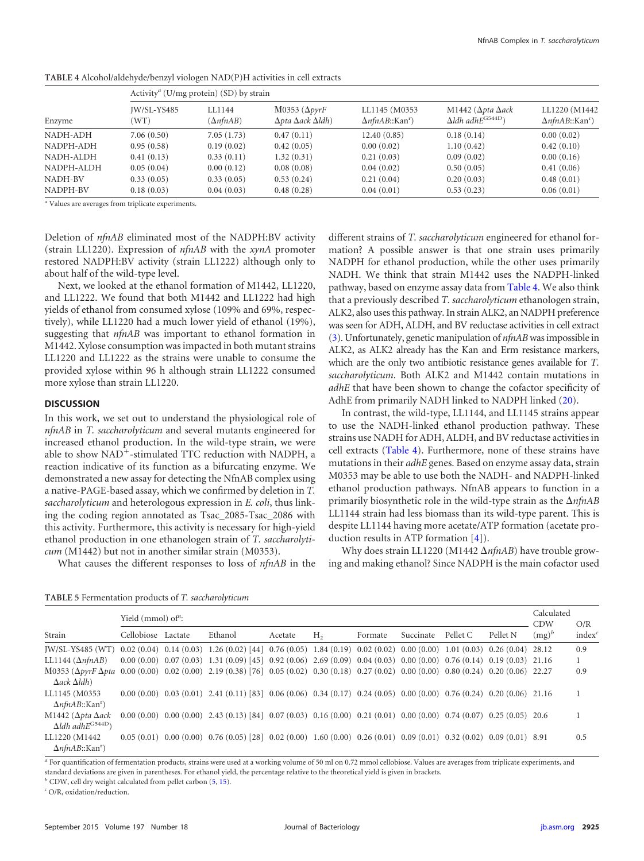| Enzyme               |                     | Activity <sup><i>a</i></sup> (U/mg protein) (SD) by strain |                                                                    |                                                      |                                                                                |                                                      |  |  |  |
|----------------------|---------------------|------------------------------------------------------------|--------------------------------------------------------------------|------------------------------------------------------|--------------------------------------------------------------------------------|------------------------------------------------------|--|--|--|
|                      | JW/SL-YS485<br>(WT) | LL1144<br>$(\Delta n f nAB)$                               | M0353 ( $\Delta pyrF$<br>$\Delta p$ ta $\Delta a$ ck $\Delta$ ldh) | LL1145 (M0353<br>$\Delta n$ fnAB::Kan <sup>r</sup> ) | M1442 ( $\Delta p$ ta $\Delta a$ ck<br>$\Delta$ ldh adh $E$ <sup>G544D</sup> ) | LL1220 (M1442<br>$\Delta n$ fnAB::Kan <sup>r</sup> ) |  |  |  |
| NADH-ADH             | 7.06(0.50)          | 7.05(1.73)                                                 | 0.47(0.11)                                                         | 12.40(0.85)                                          | 0.18(0.14)                                                                     | 0.00(0.02)                                           |  |  |  |
| NADPH-ADH            | 0.95(0.58)          | 0.19(0.02)                                                 | 0.42(0.05)                                                         | 0.00(0.02)                                           | 1.10(0.42)                                                                     | 0.42(0.10)                                           |  |  |  |
| NADH-ALDH            | 0.41(0.13)          | 0.33(0.11)                                                 | 1.32(0.31)                                                         | 0.21(0.03)                                           | 0.09(0.02)                                                                     | 0.00(0.16)                                           |  |  |  |
| NADPH-ALDH           | 0.05(0.04)          | 0.00(0.12)                                                 | 0.08(0.08)                                                         | 0.04(0.02)                                           | 0.50(0.05)                                                                     | 0.41(0.06)                                           |  |  |  |
| NADH-BV              | 0.33(0.05)          | 0.33(0.05)                                                 | 0.53(0.24)                                                         | 0.21(0.04)                                           | 0.20(0.03)                                                                     | 0.48(0.01)                                           |  |  |  |
| NADPH-BV             | 0.18(0.03)          | 0.04(0.03)                                                 | 0.48(0.28)                                                         | 0.04(0.01)                                           | 0.53(0.23)                                                                     | 0.06(0.01)                                           |  |  |  |
| $\sim$ $\sim$ $\sim$ |                     |                                                            |                                                                    |                                                      |                                                                                |                                                      |  |  |  |

<span id="page-7-0"></span>**TABLE 4** Alcohol/aldehyde/benzyl viologen NAD(P)H activities in cell extracts

*<sup>a</sup>* Values are averages from triplicate experiments.

Deletion of *nfnAB* eliminated most of the NADPH:BV activity (strain LL1220). Expression of *nfnAB* with the *xynA* promoter restored NADPH:BV activity (strain LL1222) although only to about half of the wild-type level.

Next, we looked at the ethanol formation of M1442, LL1220, and LL1222. We found that both M1442 and LL1222 had high yields of ethanol from consumed xylose (109% and 69%, respectively), while LL1220 had a much lower yield of ethanol (19%), suggesting that *nfnAB* was important to ethanol formation in M1442. Xylose consumption was impacted in both mutant strains LL1220 and LL1222 as the strains were unable to consume the provided xylose within 96 h although strain LL1222 consumed more xylose than strain LL1220.

#### **DISCUSSION**

In this work, we set out to understand the physiological role of *nfnAB* in *T. saccharolyticum* and several mutants engineered for increased ethanol production. In the wild-type strain, we were able to show NAD<sup>+</sup>-stimulated TTC reduction with NADPH, a reaction indicative of its function as a bifurcating enzyme. We demonstrated a new assay for detecting the NfnAB complex using a native-PAGE-based assay, which we confirmed by deletion in *T. saccharolyticum* and heterologous expression in *E. coli*, thus linking the coding region annotated as Tsac\_2085-Tsac\_2086 with this activity. Furthermore, this activity is necessary for high-yield ethanol production in one ethanologen strain of *T. saccharolyticum* (M1442) but not in another similar strain (M0353).

What causes the different responses to loss of *nfnAB* in the

different strains of *T. saccharolyticum* engineered for ethanol formation? A possible answer is that one strain uses primarily NADPH for ethanol production, while the other uses primarily NADH. We think that strain M1442 uses the NADPH-linked pathway, based on enzyme assay data from [Table 4.](#page-7-0) We also think that a previously described *T. saccharolyticum* ethanologen strain, ALK2, also uses this pathway. In strain ALK2, an NADPH preference was seen for ADH, ALDH, and BV reductase activities in cell extract [\(3\)](#page-10-2). Unfortunately, genetic manipulation of *nfnAB*was impossible in ALK2, as ALK2 already has the Kan and Erm resistance markers, which are the only two antibiotic resistance genes available for *T. saccharolyticum*. Both ALK2 and M1442 contain mutations in *adhE* that have been shown to change the cofactor specificity of AdhE from primarily NADH linked to NADPH linked [\(20\)](#page-10-19).

In contrast, the wild-type, LL1144, and LL1145 strains appear to use the NADH-linked ethanol production pathway. These strains use NADH for ADH, ALDH, and BV reductase activities in cell extracts [\(Table 4\)](#page-7-0). Furthermore, none of these strains have mutations in their *adhE* genes. Based on enzyme assay data, strain M0353 may be able to use both the NADH- and NADPH-linked ethanol production pathways. NfnAB appears to function in a primarily biosynthetic role in the wild-type strain as the  $\Delta n f nAB$ LL1144 strain had less biomass than its wild-type parent. This is despite LL1144 having more acetate/ATP formation (acetate production results in ATP formation [\[4\]](#page-10-3)).

Why does strain LL1220 (M1442  $\Delta nfnAB$ ) have trouble growing and making ethanol? Since NADPH is the main cofactor used

<span id="page-7-1"></span>**TABLE 5** Fermentation products of *T. saccharolyticum*

|                                                                                                                                                                      | Yield (mmol) of $\cdot$ : |  |                                                                                                                                   |         |                |         |           | Calculated<br><b>CDW</b> | O/R               |          |                    |
|----------------------------------------------------------------------------------------------------------------------------------------------------------------------|---------------------------|--|-----------------------------------------------------------------------------------------------------------------------------------|---------|----------------|---------|-----------|--------------------------|-------------------|----------|--------------------|
| Strain                                                                                                                                                               | Cellobiose Lactate        |  | Ethanol                                                                                                                           | Acetate | H <sub>2</sub> | Formate | Succinate | Pellet C                 | Pellet N          | $(mg)^b$ | index <sup>c</sup> |
| $IW/SL-YS485$ (WT)                                                                                                                                                   |                           |  | $0.02(0.04)$ $0.14(0.03)$ $1.26(0.02)$ [44] $0.76(0.05)$ $1.84(0.19)$ $0.02(0.02)$ $0.00(0.00)$ $1.01(0.03)$ $0.26(0.04)$ $28.12$ |         |                |         |           |                          |                   |          | 0.9                |
| LL1144 $(\Delta n f nAB)$                                                                                                                                            |                           |  | $0.00(0.00)$ $0.07(0.03)$ $1.31(0.09)$ [45] $0.92(0.06)$ $2.69(0.09)$ $0.04(0.03)$ $0.00(0.00)$ $0.76(0.14)$ $0.19(0.03)$ $21.16$ |         |                |         |           |                          |                   |          |                    |
| M0353 (ΔργrF Δρta 0.00 (0.00) 0.02 (0.00) 2.19 (0.38) [76] 0.05 (0.02) 0.30 (0.18) 0.27 (0.02) 0.00 (0.00) 0.80 (0.24) 0.20 (0.06) 22.27<br>$\Delta ack \Delta l dh$ |                           |  |                                                                                                                                   |         |                |         |           |                          |                   |          | 0.9                |
| LL1145 (M0353<br>$\Delta n$ fnAB::Kan <sup>r</sup> )                                                                                                                 |                           |  | $0.00(0.00)$ $0.03(0.01)$ $2.41(0.11)$ [83] $0.06(0.06)$ $0.34(0.17)$ $0.24(0.05)$ $0.00(0.00)$ $0.76(0.24)$ $0.20(0.06)$ $21.16$ |         |                |         |           |                          |                   |          |                    |
| M1442 ( $\Delta p$ ta $\Delta a$ ck<br>$\Delta$ ldh adh $E$ <sup>G544D</sup> )                                                                                       |                           |  | $0.00(0.00)$ $0.00(0.00)$ $2.43(0.13)$ [84] $0.07(0.03)$ $0.16(0.00)$ $0.21(0.01)$ $0.00(0.00)$ $0.74(0.07)$ $0.25(0.05)$ $20.6$  |         |                |         |           |                          |                   |          |                    |
| LL1220 (M1442)<br>$\Delta n$ fnAB::Kan <sup>r</sup> )                                                                                                                |                           |  | $0.05(0.01)$ $0.00(0.00)$ $0.76(0.05)$ [28] $0.02(0.00)$ $1.60(0.00)$ $0.26(0.01)$ $0.09(0.01)$ $0.32(0.02)$                      |         |                |         |           |                          | $0.09(0.01)$ 8.91 |          | 0.5                |

*<sup>a</sup>* For quantification of fermentation products, strains were used at a working volume of 50 ml on 0.72 mmol cellobiose. Values are averages from triplicate experiments, and standard deviations are given in parentheses. For ethanol yield, the percentage relative to the theoretical yield is given in brackets.

 $<sup>b</sup>$  CDW, cell dry weight calculated from pellet carbon  $(5, 15)$  $(5, 15)$  $(5, 15)$ .</sup>

*<sup>c</sup>* O/R, oxidation/reduction.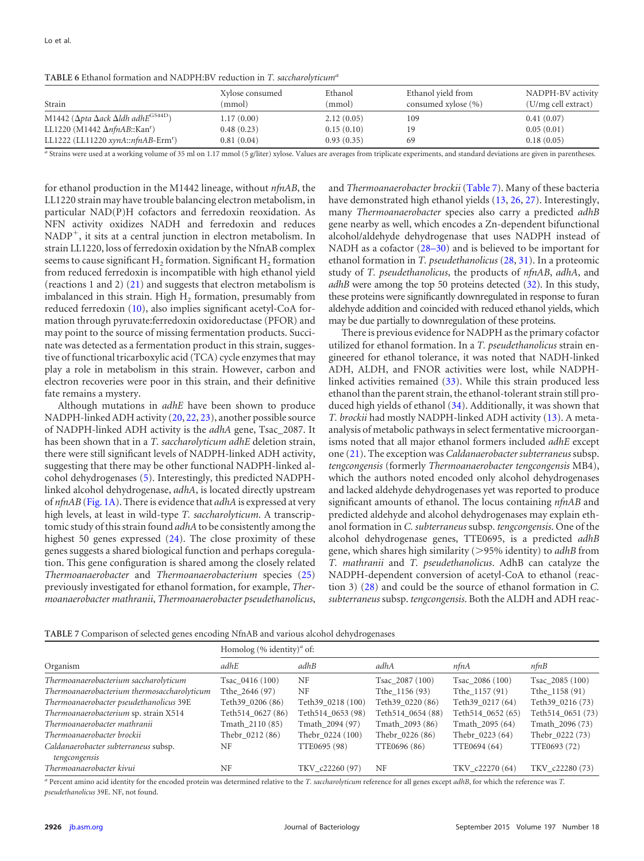<span id="page-8-0"></span>**TABLE 6** Ethanol formation and NADPH:BV reduction in *T. saccharolyticuma*

| Strain                                                                      | Xylose consumed<br>(mmol) | Ethanol<br>(mmol) | Ethanol yield from<br>consumed xylose (%) | NADPH-BV activity<br>(U/mg cell extract) |
|-----------------------------------------------------------------------------|---------------------------|-------------------|-------------------------------------------|------------------------------------------|
| M1442 ( $\Delta p$ ta $\Delta a$ ck $\Delta$ ldh adh $E$ <sup>G544D</sup> ) | 1.17(0.00)                | 2.12(0.05)        | 109                                       | 0.41(0.07)                               |
| LL1220 (M1442 $\Delta n$ fnAB::Kan <sup>r</sup> )                           | 0.48(0.23)                | 0.15(0.10)        | 19                                        | 0.05(0.01)                               |
| LL1222 (LL11220 xynA::nfnAB-Erm <sup>r</sup> )                              | 0.81(0.04)                | 0.93(0.35)        | 69                                        | 0.18(0.05)                               |

*<sup>a</sup>* Strains were used at a working volume of 35 ml on 1.17 mmol (5 g/liter) xylose. Values are averages from triplicate experiments, and standard deviations are given in parentheses.

for ethanol production in the M1442 lineage, without *nfnAB*, the LL1220 strain may have trouble balancing electron metabolism, in particular NAD(P)H cofactors and ferredoxin reoxidation. As NFN activity oxidizes NADH and ferredoxin and reduces  $NADP<sup>+</sup>$ , it sits at a central junction in electron metabolism. In strain LL1220, loss of ferredoxin oxidation by the NfnAB complex seems to cause significant  $H_2$  formation. Significant  $H_2$  formation from reduced ferredoxin is incompatible with high ethanol yield (reactions 1 and 2) [\(21\)](#page-10-20) and suggests that electron metabolism is imbalanced in this strain. High  $H_2$  formation, presumably from reduced ferredoxin [\(10\)](#page-10-9), also implies significant acetyl-CoA formation through pyruvate:ferredoxin oxidoreductase (PFOR) and may point to the source of missing fermentation products. Succinate was detected as a fermentation product in this strain, suggestive of functional tricarboxylic acid (TCA) cycle enzymes that may play a role in metabolism in this strain. However, carbon and electron recoveries were poor in this strain, and their definitive fate remains a mystery.

Although mutations in *adhE* have been shown to produce NADPH-linked ADH activity [\(20,](#page-10-19) [22,](#page-10-21) [23\)](#page-10-22), another possible source of NADPH-linked ADH activity is the *adhA* gene, Tsac\_2087. It has been shown that in a *T. saccharolyticum adhE* deletion strain, there were still significant levels of NADPH-linked ADH activity, suggesting that there may be other functional NADPH-linked alcohol dehydrogenases [\(5\)](#page-10-4). Interestingly, this predicted NADPHlinked alcohol dehydrogenase, *adhA*, is located directly upstream of *nfnAB* [\(Fig. 1A\)](#page-5-0). There is evidence that *adhA* is expressed at very high levels, at least in wild-type *T. saccharolyticum*. A transcriptomic study of this strain found *adhA* to be consistently among the highest 50 genes expressed  $(24)$ . The close proximity of these genes suggests a shared biological function and perhaps coregulation. This gene configuration is shared among the closely related *Thermoanaerobacter* and *Thermoanaerobacterium* species [\(25\)](#page-10-24) previously investigated for ethanol formation, for example, *Thermoanaerobacter mathranii*, *Thermoanaerobacter pseudethanolicus*,

and *Thermoanaerobacter brockii* [\(Table 7\)](#page-8-1). Many of these bacteria have demonstrated high ethanol yields [\(13,](#page-10-14) [26,](#page-10-25) [27\)](#page-10-26). Interestingly, many *Thermoanaerobacter* species also carry a predicted *adhB* gene nearby as well, which encodes a Zn-dependent bifunctional alcohol/aldehyde dehydrogenase that uses NADPH instead of NADH as a cofactor [\(28](#page-10-27)[–](#page-10-28)[30\)](#page-10-29) and is believed to be important for ethanol formation in *T. pseudethanolicus* [\(28,](#page-10-27) [31\)](#page-10-30). In a proteomic study of *T. pseudethanolicus*, the products of *nfnAB*, *adhA*, and *adhB* were among the top 50 proteins detected [\(32\)](#page-11-0). In this study, these proteins were significantly downregulated in response to furan aldehyde addition and coincided with reduced ethanol yields, which may be due partially to downregulation of these proteins.

There is previous evidence for NADPH as the primary cofactor utilized for ethanol formation. In a *T. pseudethanolicus* strain engineered for ethanol tolerance, it was noted that NADH-linked ADH, ALDH, and FNOR activities were lost, while NADPHlinked activities remained [\(33\)](#page-11-1). While this strain produced less ethanol than the parent strain, the ethanol-tolerant strain still produced high yields of ethanol [\(34\)](#page-11-2). Additionally, it was shown that *T. brockii* had mostly NADPH-linked ADH activity [\(13\)](#page-10-14). A metaanalysis of metabolic pathways in select fermentative microorganisms noted that all major ethanol formers included *adhE* except one [\(21\)](#page-10-20). The exception was *Caldanaerobacter subterraneus*subsp. *tengcongensis* (formerly *Thermoanaerobacter tengcongensis* MB4), which the authors noted encoded only alcohol dehydrogenases and lacked aldehyde dehydrogenases yet was reported to produce significant amounts of ethanol. The locus containing *nfnAB* and predicted aldehyde and alcohol dehydrogenases may explain ethanol formation in *C. subterraneus* subsp. *tengcongensis*. One of the alcohol dehydrogenase genes, TTE0695, is a predicted *adhB* gene, which shares high similarity (95% identity) to *adhB* from *T. mathranii* and *T. pseudethanolicus*. AdhB can catalyze the NADPH-dependent conversion of acetyl-CoA to ethanol (reaction 3) [\(28\)](#page-10-27) and could be the source of ethanol formation in *C. subterraneus* subsp. *tengcongensis*. Both the ALDH and ADH reac-

<span id="page-8-1"></span>**TABLE 7** Comparison of selected genes encoding NfnAB and various alcohol dehydrogenases

|                                                       | Homolog $(\%$ identity) <sup><i>a</i></sup> of: |                   |                   |                   |                   |  |  |
|-------------------------------------------------------|-------------------------------------------------|-------------------|-------------------|-------------------|-------------------|--|--|
| Organism                                              | adhE                                            | adhB              | adhA              | nfnA              | nfnB              |  |  |
| Thermoanaerobacterium saccharolyticum                 | Tsac $0416(100)$                                | NF                | Tsac 2087 (100)   | Tsac 2086 (100)   | Tsac 2085 (100)   |  |  |
| Thermoanaerobacterium thermosaccharolyticum           | Tthe 2646 (97)                                  | NF                | Tthe 1156 (93)    | Tthe 1157 (91)    | Tthe 1158 (91)    |  |  |
| Thermoanaerobacter pseudethanolicus 39E               | Teth39 0206 (86)                                | Teth39 0218 (100) | Teth39 0220 (86)  | Teth39 0217 (64)  | Teth39 0216 (73)  |  |  |
| Thermoanaerobacterium sp. strain X514                 | Teth514 0627 (86)                               | Teth514 0653 (98) | Teth514 0654 (88) | Teth514 0652 (65) | Teth514 0651 (73) |  |  |
| Thermoanaerobacter mathranii                          | Tmath 2110 (85)                                 | Tmath 2094 (97)   | Tmath 2093 (86)   | Tmath 2095 (64)   | Tmath 2096 (73)   |  |  |
| Thermoanaerobacter brockii                            | Thebr 0212 (86)                                 | Thebr 0224 (100)  | Thebr 0226 (86)   | Thebr 0223 (64)   | Thebr 0222 (73)   |  |  |
| Caldanaerobacter subterraneus subsp.<br>tengcongensis | NF                                              | TTE0695 (98)      | TTE0696 (86)      | TTE0694 (64)      | TTE0693 (72)      |  |  |
| Thermoanaerobacter kivui                              | NF                                              | TKV c22260 (97)   | NF                | TKV c22270 (64)   | TKV c22280 (73)   |  |  |

*<sup>a</sup>* Percent amino acid identity for the encoded protein was determined relative to the *T. saccharolyticum* reference for all genes except *adhB*, for which the reference was *T. pseudethanolicus* 39E. NF, not found.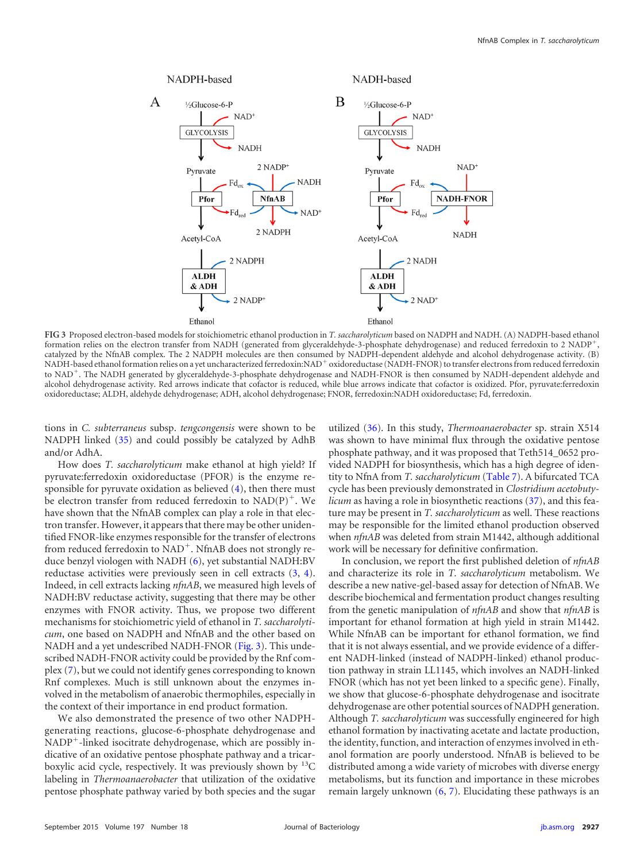

<span id="page-9-0"></span>**FIG 3** Proposed electron-based models for stoichiometric ethanol production in *T. saccharolyticum* based on NADPH and NADH. (A) NADPH-based ethanol formation relies on the electron transfer from NADH (generated from glyceraldehyde-3-phosphate dehydrogenase) and reduced ferredoxin to 2 NADP<sup>+</sup>, catalyzed by the NfnAB complex. The 2 NADPH molecules are then consumed by NADPH-dependent aldehyde and alcohol dehydrogenase activity. (B) NADH-based ethanol formation relies on a yet uncharacterized ferredoxin:NAD<sup>+</sup> oxidoreductase (NADH-FNOR) to transfer electrons from reduced ferredoxin to NAD<sup>+</sup>. The NADH generated by glyceraldehyde-3-phosphate dehydrogenase and NADH-FNOR is then consumed by NADH-dependent aldehyde and alcohol dehydrogenase activity. Red arrows indicate that cofactor is reduced, while blue arrows indicate that cofactor is oxidized. Pfor, pyruvate:ferredoxin oxidoreductase; ALDH, aldehyde dehydrogenase; ADH, alcohol dehydrogenase; FNOR, ferredoxin:NADH oxidoreductase; Fd, ferredoxin.

tions in *C. subterraneus* subsp. *tengcongensis* were shown to be NADPH linked [\(35\)](#page-11-3) and could possibly be catalyzed by AdhB and/or AdhA.

How does *T. saccharolyticum* make ethanol at high yield? If pyruvate:ferredoxin oxidoreductase (PFOR) is the enzyme responsible for pyruvate oxidation as believed [\(4\)](#page-10-3), then there must be electron transfer from reduced ferredoxin to  $NAD(P)^+$ . We have shown that the NfnAB complex can play a role in that electron transfer. However, it appears that there may be other unidentified FNOR-like enzymes responsible for the transfer of electrons from reduced ferredoxin to  $NAD^+$ . NfnAB does not strongly reduce benzyl viologen with NADH [\(6\)](#page-10-5), yet substantial NADH:BV reductase activities were previously seen in cell extracts [\(3,](#page-10-2) [4\)](#page-10-3). Indeed, in cell extracts lacking *nfnAB*, we measured high levels of NADH:BV reductase activity, suggesting that there may be other enzymes with FNOR activity. Thus, we propose two different mechanisms for stoichiometric yield of ethanol in *T. saccharolyticum*, one based on NADPH and NfnAB and the other based on NADH and a yet undescribed NADH-FNOR [\(Fig. 3\)](#page-9-0). This undescribed NADH-FNOR activity could be provided by the Rnf complex [\(7\)](#page-10-6), but we could not identify genes corresponding to known Rnf complexes. Much is still unknown about the enzymes involved in the metabolism of anaerobic thermophiles, especially in the context of their importance in end product formation.

We also demonstrated the presence of two other NADPHgenerating reactions, glucose-6-phosphate dehydrogenase and  $NADP<sup>+</sup>$ -linked isocitrate dehydrogenase, which are possibly indicative of an oxidative pentose phosphate pathway and a tricarboxylic acid cycle, respectively. It was previously shown by  $^{13}$ C labeling in *Thermoanaerobacter* that utilization of the oxidative pentose phosphate pathway varied by both species and the sugar

utilized [\(36\)](#page-11-4). In this study, *Thermoanaerobacter* sp. strain X514 was shown to have minimal flux through the oxidative pentose phosphate pathway, and it was proposed that Teth514\_0652 provided NADPH for biosynthesis, which has a high degree of identity to NfnA from *T. saccharolyticum* [\(Table 7\)](#page-8-1). A bifurcated TCA cycle has been previously demonstrated in *Clostridium acetobutylicum* as having a role in biosynthetic reactions [\(37\)](#page-11-5), and this feature may be present in *T. saccharolyticum* as well. These reactions may be responsible for the limited ethanol production observed when *nfnAB* was deleted from strain M1442, although additional work will be necessary for definitive confirmation.

In conclusion, we report the first published deletion of *nfnAB* and characterize its role in *T. saccharolyticum* metabolism. We describe a new native-gel-based assay for detection of NfnAB. We describe biochemical and fermentation product changes resulting from the genetic manipulation of *nfnAB* and show that *nfnAB* is important for ethanol formation at high yield in strain M1442. While NfnAB can be important for ethanol formation, we find that it is not always essential, and we provide evidence of a different NADH-linked (instead of NADPH-linked) ethanol production pathway in strain LL1145, which involves an NADH-linked FNOR (which has not yet been linked to a specific gene). Finally, we show that glucose-6-phosphate dehydrogenase and isocitrate dehydrogenase are other potential sources of NADPH generation. Although *T. saccharolyticum* was successfully engineered for high ethanol formation by inactivating acetate and lactate production, the identity, function, and interaction of enzymes involved in ethanol formation are poorly understood. NfnAB is believed to be distributed among a wide variety of microbes with diverse energy metabolisms, but its function and importance in these microbes remain largely unknown [\(6,](#page-10-5) [7\)](#page-10-6). Elucidating these pathways is an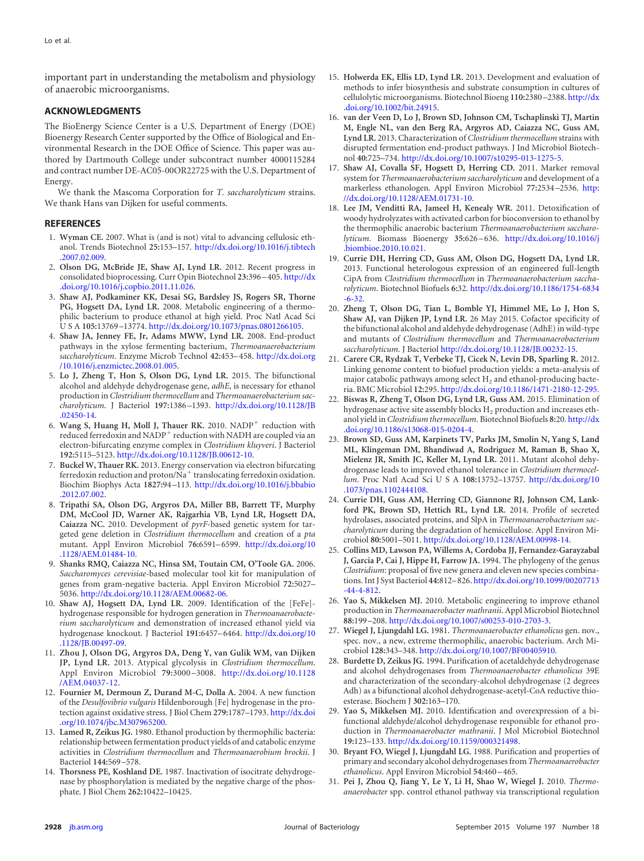important part in understanding the metabolism and physiology of anaerobic microorganisms.

#### **ACKNOWLEDGMENTS**

The BioEnergy Science Center is a U.S. Department of Energy (DOE) Bioenergy Research Center supported by the Office of Biological and Environmental Research in the DOE Office of Science. This paper was authored by Dartmouth College under subcontract number 4000115284 and contract number DE-AC05-00OR22725 with the U.S. Department of Energy.

We thank the Mascoma Corporation for *T. saccharolyticum* strains. We thank Hans van Dijken for useful comments.

#### <span id="page-10-0"></span>**REFERENCES**

- 1. **Wyman CE.** 2007. What is (and is not) vital to advancing cellulosic ethanol. Trends Biotechnol **25:**153–157. [http://dx.doi.org/10.1016/j.tibtech](http://dx.doi.org/10.1016/j.tibtech.2007.02.009) [.2007.02.009.](http://dx.doi.org/10.1016/j.tibtech.2007.02.009)
- <span id="page-10-1"></span>2. **Olson DG, McBride JE, Shaw AJ, Lynd LR.** 2012. Recent progress in consolidated bioprocessing. Curr Opin Biotechnol **23:**396 –405. [http://dx](http://dx.doi.org/10.1016/j.copbio.2011.11.026) [.doi.org/10.1016/j.copbio.2011.11.026.](http://dx.doi.org/10.1016/j.copbio.2011.11.026)
- <span id="page-10-2"></span>3. **Shaw AJ, Podkaminer KK, Desai SG, Bardsley JS, Rogers SR, Thorne PG, Hogsett DA, Lynd LR.** 2008. Metabolic engineering of a thermophilic bacterium to produce ethanol at high yield. Proc Natl Acad Sci USA **105:**13769 –13774. [http://dx.doi.org/10.1073/pnas.0801266105.](http://dx.doi.org/10.1073/pnas.0801266105)
- <span id="page-10-3"></span>4. **Shaw JA, Jenney FE, Jr, Adams MWW, Lynd LR.** 2008. End-product pathways in the xylose fermenting bacterium, *Thermoanaerobacterium saccharolyticum*. Enzyme Microb Technol **42:**453–458. [http://dx.doi.org](http://dx.doi.org/10.1016/j.enzmictec.2008.01.005) [/10.1016/j.enzmictec.2008.01.005.](http://dx.doi.org/10.1016/j.enzmictec.2008.01.005)
- <span id="page-10-4"></span>5. **Lo J, Zheng T, Hon S, Olson DG, Lynd LR.** 2015. The bifunctional alcohol and aldehyde dehydrogenase gene, *adhE*, is necessary for ethanol production in *Clostridium thermocellum* and *Thermoanaerobacterium saccharolyticum*. J Bacteriol **197:**1386 –1393. [http://dx.doi.org/10.1128/JB](http://dx.doi.org/10.1128/JB.02450-14) [.02450-14.](http://dx.doi.org/10.1128/JB.02450-14)
- <span id="page-10-5"></span>6. Wang S, Huang H, Moll J, Thauer RK. 2010. NADP<sup>+</sup> reduction with reduced ferredoxin and NADP<sup>+</sup> reduction with NADH are coupled via an electron-bifurcating enzyme complex in *Clostridium kluyveri*. J Bacteriol **192:**5115–5123. [http://dx.doi.org/10.1128/JB.00612-10.](http://dx.doi.org/10.1128/JB.00612-10)
- <span id="page-10-6"></span>7. **Buckel W, Thauer RK.** 2013. Energy conservation via electron bifurcating ferredoxin reduction and proton/ $\breve{N}a^+$  translocating ferredoxin oxidation. Biochim Biophys Acta **1827:**94 –113. [http://dx.doi.org/10.1016/j.bbabio](http://dx.doi.org/10.1016/j.bbabio.2012.07.002) [.2012.07.002.](http://dx.doi.org/10.1016/j.bbabio.2012.07.002)
- <span id="page-10-7"></span>8. **Tripathi SA, Olson DG, Argyros DA, Miller BB, Barrett TF, Murphy DM, McCool JD, Warner AK, Rajgarhia VB, Lynd LR, Hogsett DA, Caiazza NC.** 2010. Development of *pyrF*-based genetic system for targeted gene deletion in *Clostridium thermocellum* and creation of a *pta* mutant. Appl Environ Microbiol **76:**6591–6599. [http://dx.doi.org/10](http://dx.doi.org/10.1128/AEM.01484-10) [.1128/AEM.01484-10.](http://dx.doi.org/10.1128/AEM.01484-10)
- <span id="page-10-8"></span>9. **Shanks RMQ, Caiazza NC, Hinsa SM, Toutain CM, O'Toole GA.** 2006. *Saccharomyces cerevisiae*-based molecular tool kit for manipulation of genes from gram-negative bacteria. Appl Environ Microbiol **72:**5027– 5036. [http://dx.doi.org/10.1128/AEM.00682-06.](http://dx.doi.org/10.1128/AEM.00682-06)
- <span id="page-10-9"></span>10. **Shaw AJ, Hogsett DA, Lynd LR.** 2009. Identification of the [FeFe] hydrogenase responsible for hydrogen generation in *Thermoanaerobacterium saccharolyticum* and demonstration of increased ethanol yield via hydrogenase knockout. J Bacteriol **191:**6457–6464. [http://dx.doi.org/10](http://dx.doi.org/10.1128/JB.00497-09) [.1128/JB.00497-09.](http://dx.doi.org/10.1128/JB.00497-09)
- <span id="page-10-12"></span>11. **Zhou J, Olson DG, Argyros DA, Deng Y, van Gulik WM, van Dijken JP, Lynd LR.** 2013. Atypical glycolysis in *Clostridium thermocellum*. Appl Environ Microbiol **79:**3000 –3008. [http://dx.doi.org/10.1128](http://dx.doi.org/10.1128/AEM.04037-12) [/AEM.04037-12.](http://dx.doi.org/10.1128/AEM.04037-12)
- <span id="page-10-13"></span>12. **Fournier M, Dermoun Z, Durand M-C, Dolla A.** 2004. A new function of the *Desulfovibrio vulgaris* Hildenborough [Fe] hydrogenase in the protection against oxidative stress. J Biol Chem **279:**1787–1793. [http://dx.doi](http://dx.doi.org/10.1074/jbc.M307965200) [.org/10.1074/jbc.M307965200.](http://dx.doi.org/10.1074/jbc.M307965200)
- <span id="page-10-14"></span>13. **Lamed R, Zeikus JG.** 1980. Ethanol production by thermophilic bacteria: relationship between fermentation product yields of and catabolic enzyme activities in *Clostridium thermocellum* and *Thermoanaerobium brockii*. J Bacteriol **144:**569 –578.
- <span id="page-10-15"></span>14. **Thorsness PE, Koshland DE.** 1987. Inactivation of isocitrate dehydrogenase by phosphorylation is mediated by the negative charge of the phosphate. J Biol Chem **262:**10422–10425.
- <span id="page-10-16"></span>15. **Holwerda EK, Ellis LD, Lynd LR.** 2013. Development and evaluation of methods to infer biosynthesis and substrate consumption in cultures of cellulolytic microorganisms. Biotechnol Bioeng **110:**2380 –2388. [http://dx](http://dx.doi.org/10.1002/bit.24915) [.doi.org/10.1002/bit.24915.](http://dx.doi.org/10.1002/bit.24915)
- <span id="page-10-17"></span>16. **van der Veen D, Lo J, Brown SD, Johnson CM, Tschaplinski TJ, Martin M, Engle NL, van den Berg RA, Argyros AD, Caiazza NC, Guss AM, Lynd LR.** 2013. Characterization of *Clostridium thermocellum* strains with disrupted fermentation end-product pathways. J Ind Microbiol Biotechnol **40:**725–734. [http://dx.doi.org/10.1007/s10295-013-1275-5.](http://dx.doi.org/10.1007/s10295-013-1275-5)
- <span id="page-10-10"></span>17. **Shaw AJ, Covalla SF, Hogsett D, Herring CD.** 2011. Marker removal system for *Thermoanaerobacterium saccharolyticum* and development of a markerless ethanologen. Appl Environ Microbiol **77:**2534 –2536. [http:](http://dx.doi.org/10.1128/AEM.01731-10) [//dx.doi.org/10.1128/AEM.01731-10.](http://dx.doi.org/10.1128/AEM.01731-10)
- <span id="page-10-11"></span>18. **Lee JM, Venditti RA, Jameel H, Kenealy WR.** 2011. Detoxification of woody hydrolyzates with activated carbon for bioconversion to ethanol by the thermophilic anaerobic bacterium *Thermoanaerobacterium saccharolyticum*. Biomass Bioenergy **35:**626 –636. [http://dx.doi.org/10.1016/j](http://dx.doi.org/10.1016/j.biombioe.2010.10.021) [.biombioe.2010.10.021.](http://dx.doi.org/10.1016/j.biombioe.2010.10.021)
- <span id="page-10-18"></span>19. **Currie DH, Herring CD, Guss AM, Olson DG, Hogsett DA, Lynd LR.** 2013. Functional heterologous expression of an engineered full-length CipA from *Clostridium thermocellum* in *Thermoanaerobacterium saccharolyticum*. Biotechnol Biofuels **6:**32. [http://dx.doi.org/10.1186/1754-6834](http://dx.doi.org/10.1186/1754-6834-6-32) [-6-32.](http://dx.doi.org/10.1186/1754-6834-6-32)
- <span id="page-10-19"></span>20. **Zheng T, Olson DG, Tian L, Bomble YJ, Himmel ME, Lo J, Hon S, Shaw AJ, van Dijken JP, Lynd LR.** 26 May 2015. Cofactor specificity of the bifunctional alcohol and aldehyde dehydrogenase (AdhE) in wild-type and mutants of *Clostridium thermocellum* and *Thermoanaerobacterium saccharolyticum*. J Bacteriol [http://dx.doi.org/10.1128/JB.00232-15.](http://dx.doi.org/10.1128/JB.00232-15)
- <span id="page-10-20"></span>21. **Carere CR, Rydzak T, Verbeke TJ, Cicek N, Levin DB, Sparling R.** 2012. Linking genome content to biofuel production yields: a meta-analysis of major catabolic pathways among select  $H_2$  and ethanol-producing bacteria. BMC Microbiol **12:**295. [http://dx.doi.org/10.1186/1471-2180-12-295.](http://dx.doi.org/10.1186/1471-2180-12-295)
- <span id="page-10-21"></span>22. **Biswas R, Zheng T, Olson DG, Lynd LR, Guss AM.** 2015. Elimination of hydrogenase active site assembly blocks  $H_2$  production and increases ethanol yield in *Clostridium thermocellum*. Biotechnol Biofuels **8:**20. [http://dx](http://dx.doi.org/10.1186/s13068-015-0204-4) [.doi.org/10.1186/s13068-015-0204-4.](http://dx.doi.org/10.1186/s13068-015-0204-4)
- <span id="page-10-22"></span>23. **Brown SD, Guss AM, Karpinets TV, Parks JM, Smolin N, Yang S, Land ML, Klingeman DM, Bhandiwad A, Rodriguez M, Raman B, Shao X, Mielenz JR, Smith JC, Keller M, Lynd LR.** 2011. Mutant alcohol dehydrogenase leads to improved ethanol tolerance in *Clostridium thermocellum*. Proc Natl Acad SciUSA **108:**13752–13757. [http://dx.doi.org/10](http://dx.doi.org/10.1073/pnas.1102444108) [.1073/pnas.1102444108.](http://dx.doi.org/10.1073/pnas.1102444108)
- <span id="page-10-23"></span>24. **Currie DH, Guss AM, Herring CD, Giannone RJ, Johnson CM, Lankford PK, Brown SD, Hettich RL, Lynd LR.** 2014. Profile of secreted hydrolases, associated proteins, and SlpA in *Thermoanaerobacterium saccharolyticum* during the degradation of hemicellulose. Appl Environ Microbiol **80:**5001–5011. [http://dx.doi.org/10.1128/AEM.00998-14.](http://dx.doi.org/10.1128/AEM.00998-14)
- <span id="page-10-24"></span>25. **Collins MD, Lawson PA, Willems A, Cordoba JJ, Fernandez-Garayzabal J, Garcia P, Cai J, Hippe H, Farrow JA.** 1994. The phylogeny of the genus *Clostridium*: proposal of five new genera and eleven new species combinations. Int J Syst Bacteriol **44:**812–826. [http://dx.doi.org/10.1099/00207713](http://dx.doi.org/10.1099/00207713-44-4-812) [-44-4-812.](http://dx.doi.org/10.1099/00207713-44-4-812)
- <span id="page-10-26"></span><span id="page-10-25"></span>26. **Yao S, Mikkelsen MJ.** 2010. Metabolic engineering to improve ethanol production in *Thermoanaerobacter mathranii*. Appl Microbiol Biotechnol **88:**199 –208. [http://dx.doi.org/10.1007/s00253-010-2703-3.](http://dx.doi.org/10.1007/s00253-010-2703-3)
- <span id="page-10-27"></span>27. **Wiegel J, Ljungdahl LG.** 1981. *Thermoanaerobacter ethanolicus* gen. nov., spec. nov., a new, extreme thermophilic, anaerobic bacterium. Arch Microbiol **128:**343–348. [http://dx.doi.org/10.1007/BF00405910.](http://dx.doi.org/10.1007/BF00405910)
- 28. **Burdette D, Zeikus JG.** 1994. Purification of acetaldehyde dehydrogenase and alcohol dehydrogenases from *Thermoanaerobacter ethanolicus* 39E and characterization of the secondary-alcohol dehydrogenase (2 degrees Adh) as a bifunctional alcohol dehydrogenase-acetyl-CoA reductive thioesterase. Biochem J **302:**163–170.
- <span id="page-10-28"></span>29. **Yao S, Mikkelsen MJ.** 2010. Identification and overexpression of a bifunctional aldehyde/alcohol dehydrogenase responsible for ethanol production in *Thermoanaerobacter mathranii*. J Mol Microbiol Biotechnol **19:**123–133. [http://dx.doi.org/10.1159/000321498.](http://dx.doi.org/10.1159/000321498)
- <span id="page-10-30"></span><span id="page-10-29"></span>30. **Bryant FO, Wiegel J, Ljungdahl LG.** 1988. Purification and properties of primary and secondary alcohol dehydrogenases from *Thermoanaerobacter ethanolicus*. Appl Environ Microbiol **54:**460 –465.
- 31. **Pei J, Zhou Q, Jiang Y, Le Y, Li H, Shao W, Wiegel J.** 2010. *Thermoanaerobacter* spp. control ethanol pathway via transcriptional regulation